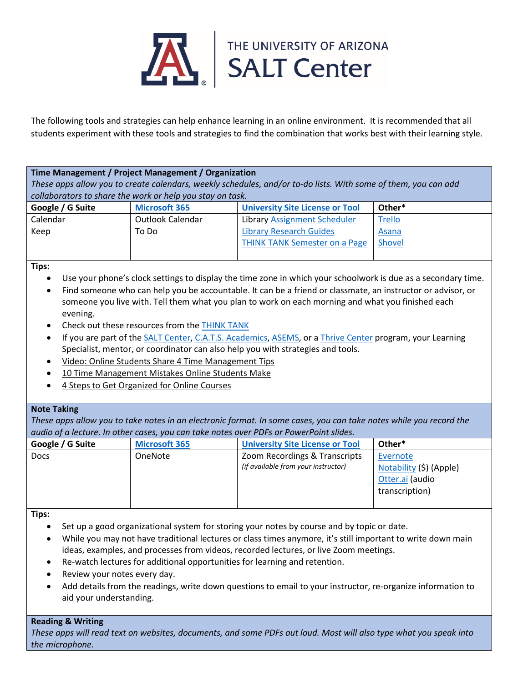

The following tools and strategies can help enhance learning in an online environment. It is recommended that all students experiment with these tools and strategies to find the combination that works best with their learning style.

**Time Management / Project Management / Organization** *These apps allow you to create calendars, weekly schedules, and/or to-do lists. With some of them, you can add collaborators to share the work or help you stay on task.*

| Google / G Suite | <b>Microsoft 365</b> | <b>University Site License or Tool</b> | Other*        |
|------------------|----------------------|----------------------------------------|---------------|
| Calendar         | Outlook Calendar     | Library Assignment Scheduler           | <b>Trello</b> |
| Keep             | To Do                | <b>Library Research Guides</b>         | Asana         |
|                  |                      | <b>THINK TANK Semester on a Page</b>   | Shovel        |
|                  |                      |                                        |               |

**Tips:**

- Use your phone's clock settings to display the time zone in which your schoolwork is due as a secondary time.
- Find someone who can help you be accountable. It can be a friend or classmate, an instructor or advisor, or someone you live with. Tell them what you plan to work on each morning and what you finished each evening.
- Check out these resources from the **THINK TANK**
- If you are part of the SALT [Center,](https://salt.arizona.edu/) C.A.T.S. [Academics,](https://arizonawildcats.com/sports/2015/7/16/210220032.aspx) [ASEMS,](https://asems.arizona.edu/home) or a Thrive [Center](https://thrive.arizona.edu/) program, your Learning Specialist, mentor, or coordinator can also help you with strategies and tools.
- [Video: Online Students Share 4 Time Management Tips](https://www.usnews.com/education/online-education/articles/2014/01/29/video-online-students-share-time-management-tips)
- [10 Time Management Mistakes Online Students Make](https://www.usnews.com/education/online-education/slideshows/10-time-management-mistakes-online-students-make)
- [4 Steps to Get Organized for Online Courses](https://www.usnews.com/education/online-learning-lessons/articles/2017-09-08/4-steps-to-get-organized-for-online-courses)

## **Note Taking**

*These apps allow you to take notes in an electronic format. In some cases, you can take notes while you record the audio of a lecture. In other cases, you can take notes over PDFs or PowerPoint slides.* 

| Google / G Suite | <b>Microsoft 365</b> | <b>University Site License or Tool</b> | Other*                  |  |
|------------------|----------------------|----------------------------------------|-------------------------|--|
| <b>Docs</b>      | <b>OneNote</b>       | Zoom Recordings & Transcripts          | Evernote                |  |
|                  |                      | (if available from your instructor)    | Notability (\$) (Apple) |  |
|                  |                      |                                        | Otter.ai (audio         |  |
|                  |                      |                                        | transcription)          |  |
|                  |                      |                                        |                         |  |

**Tips:**

- Set up a good organizational system for storing your notes by course and by topic or date.
- While you may not have traditional lectures or class times anymore, it's still important to write down main ideas, examples, and processes from videos, recorded lectures, or live Zoom meetings.
- Re-watch lectures for additional opportunities for learning and retention.
- Review your notes every day.
- Add details from the readings, write down questions to email to your instructor, re-organize information to aid your understanding.

## **Reading & Writing**

*These apps will read text on websites, documents, and some PDFs out loud. Most will also type what you speak into the microphone.*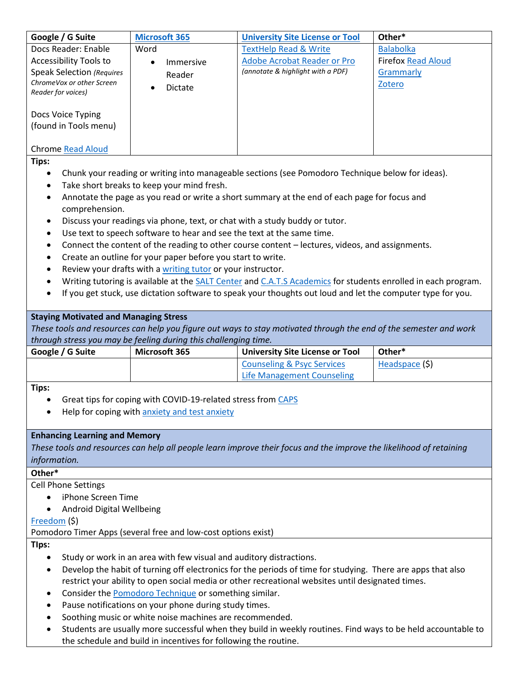| Google / G Suite                                                                                              | <b>Microsoft 365</b>                                                   | <b>University Site License or Tool</b>                                                                              | Other*             |  |  |
|---------------------------------------------------------------------------------------------------------------|------------------------------------------------------------------------|---------------------------------------------------------------------------------------------------------------------|--------------------|--|--|
| Docs Reader: Enable                                                                                           | Word                                                                   | <b>TextHelp Read &amp; Write</b>                                                                                    | <b>Balabolka</b>   |  |  |
| <b>Accessibility Tools to</b>                                                                                 | Immersive<br>$\bullet$                                                 | <b>Adobe Acrobat Reader or Pro</b>                                                                                  | Firefox Read Aloud |  |  |
| <b>Speak Selection (Requires</b>                                                                              |                                                                        | (annotate & highlight with a PDF)                                                                                   | Grammarly          |  |  |
| ChromeVox or other Screen                                                                                     | Reader                                                                 |                                                                                                                     | Zotero             |  |  |
| Reader for voices)                                                                                            | Dictate                                                                |                                                                                                                     |                    |  |  |
|                                                                                                               |                                                                        |                                                                                                                     |                    |  |  |
| Docs Voice Typing                                                                                             |                                                                        |                                                                                                                     |                    |  |  |
| (found in Tools menu)                                                                                         |                                                                        |                                                                                                                     |                    |  |  |
|                                                                                                               |                                                                        |                                                                                                                     |                    |  |  |
| <b>Chrome Read Aloud</b>                                                                                      |                                                                        |                                                                                                                     |                    |  |  |
| Tips:                                                                                                         |                                                                        |                                                                                                                     |                    |  |  |
| Chunk your reading or writing into manageable sections (see Pomodoro Technique below for ideas).<br>$\bullet$ |                                                                        |                                                                                                                     |                    |  |  |
| $\bullet$                                                                                                     | Take short breaks to keep your mind fresh.                             |                                                                                                                     |                    |  |  |
| ٠                                                                                                             |                                                                        | Annotate the page as you read or write a short summary at the end of each page for focus and                        |                    |  |  |
| comprehension.                                                                                                |                                                                        |                                                                                                                     |                    |  |  |
| $\bullet$                                                                                                     |                                                                        | Discuss your readings via phone, text, or chat with a study buddy or tutor.                                         |                    |  |  |
| $\bullet$                                                                                                     | Use text to speech software to hear and see the text at the same time. |                                                                                                                     |                    |  |  |
| ٠                                                                                                             |                                                                        | Connect the content of the reading to other course content - lectures, videos, and assignments.                     |                    |  |  |
| ٠                                                                                                             | Create an outline for your paper before you start to write.            |                                                                                                                     |                    |  |  |
|                                                                                                               | Review your drafts with a writing tutor or your instructor.            |                                                                                                                     |                    |  |  |
|                                                                                                               |                                                                        | Writing tutoring is available at the SALT Center and C.A.T.S Academics for students enrolled in each program.       |                    |  |  |
|                                                                                                               |                                                                        | If you get stuck, use dictation software to speak your thoughts out loud and let the computer type for you.         |                    |  |  |
|                                                                                                               |                                                                        |                                                                                                                     |                    |  |  |
|                                                                                                               |                                                                        |                                                                                                                     |                    |  |  |
|                                                                                                               |                                                                        |                                                                                                                     |                    |  |  |
| <b>Staying Motivated and Managing Stress</b>                                                                  |                                                                        |                                                                                                                     |                    |  |  |
|                                                                                                               | through stress you may be feeling during this challenging time.        | These tools and resources can help you figure out ways to stay motivated through the end of the semester and work   |                    |  |  |
| Google / G Suite                                                                                              | Microsoft 365                                                          | <b>University Site License or Tool</b>                                                                              | Other*             |  |  |
|                                                                                                               |                                                                        | <b>Counseling &amp; Psyc Services</b>                                                                               | Headspace (\$)     |  |  |
|                                                                                                               |                                                                        | <b>Life Management Counseling</b>                                                                                   |                    |  |  |
| Tips:                                                                                                         |                                                                        |                                                                                                                     |                    |  |  |
|                                                                                                               |                                                                        |                                                                                                                     |                    |  |  |
|                                                                                                               | Great tips for coping with COVID-19-related stress from CAPS           |                                                                                                                     |                    |  |  |
|                                                                                                               | Help for coping with anxiety and test anxiety                          |                                                                                                                     |                    |  |  |
|                                                                                                               |                                                                        |                                                                                                                     |                    |  |  |
| <b>Enhancing Learning and Memory</b>                                                                          |                                                                        |                                                                                                                     |                    |  |  |
|                                                                                                               |                                                                        | These tools and resources can help all people learn improve their focus and the improve the likelihood of retaining |                    |  |  |
| information.                                                                                                  |                                                                        |                                                                                                                     |                    |  |  |
| Other*                                                                                                        |                                                                        |                                                                                                                     |                    |  |  |
| <b>Cell Phone Settings</b>                                                                                    |                                                                        |                                                                                                                     |                    |  |  |
| iPhone Screen Time                                                                                            |                                                                        |                                                                                                                     |                    |  |  |
| Android Digital Wellbeing                                                                                     |                                                                        |                                                                                                                     |                    |  |  |
| Freedom (\$)                                                                                                  |                                                                        |                                                                                                                     |                    |  |  |
|                                                                                                               | Pomodoro Timer Apps (several free and low-cost options exist)          |                                                                                                                     |                    |  |  |
| Tips:                                                                                                         |                                                                        |                                                                                                                     |                    |  |  |
| $\bullet$                                                                                                     | Study or work in an area with few visual and auditory distractions.    |                                                                                                                     |                    |  |  |
|                                                                                                               |                                                                        | Develop the habit of turning off electronics for the periods of time for studying. There are apps that also         |                    |  |  |

- Consider the **Pomodoro Technique** or something similar.
- Pause notifications on your phone during study times.
- Soothing music or white noise machines are recommended.
- Students are usually more successful when they build in weekly routines. Find ways to be held accountable to the schedule and build in incentives for following the routine.